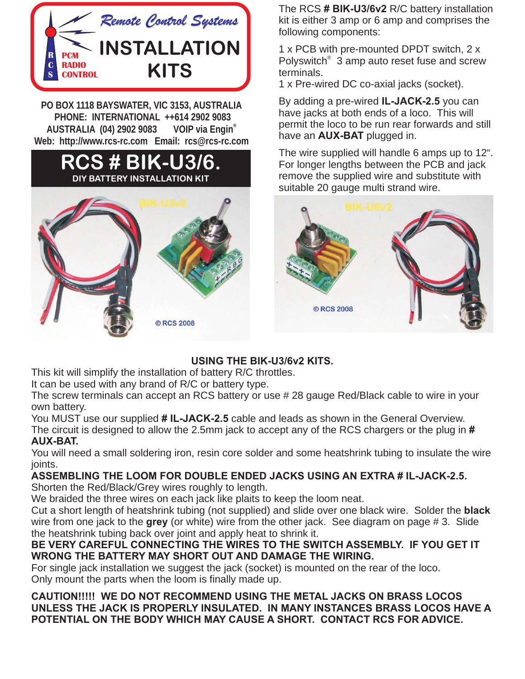

**PO BOX 1118 BAYSWATER, VIC 3153, AUSTRALIA** AUSTRALIA (04) 2902 9083 VOIP via Engin<sup>®</sup> Web: http://www.rcs-rc.com Email: rcs@rcs-rc.com **Web: http://www.rcs-rc.com Email: rcs@rcs-rc.com**

#### **BIK-U3/6. DIY BATTERY INSTALLATION KIT**



The RCS # BIK-U3/6v2 R/C battery installation kit is either 3 amp or 6 amp and comprises the following components:

1 x PCB with pre-mounted DPDT switch, 2 x Polyswitch<sup>®</sup> 3 amp auto reset fuse and screw terminals.

1 x Pre-wired DC co-axial jacks (socket).

By adding a pre-wired **IL-JACK-2.5** you can have jacks at both ends of a loco. This will permit the loco to be run rear forwards and still have an **AUX-BAT** plugged in.

The wire supplied will handle 6 amps up to 12". For longer lengths between the PCB and jack remove the supplied wire and substitute with suitable 20 gauge multi strand wire. **AUX-BAT**



This kit will simplify the installation of battery R/C throttles.

It can be used with any brand of R/C or battery type.

The screw terminals can accept an RCS battery or use # 28 gauge Red/Black cable to wire in your own battery.

You MUST use our supplied # IL-JACK-2.5 cable and leads as shown in the General Overview. The circuit is designed to allow the 2.5mm jack to accept any of the RCS chargers or the plug in **AUX-BAT.** 

You will need a small soldering iron, resin core solder and some heatshrink tubing to insulate the wire ioints.

Shorten the Red/Black/Grey wires roughly to length.

We braided the three wires on each jack like plaits to keep the loom neat.

wire from one jack to the **grey** (or white) wire from the other jack. See diagram on page # 3. Slide **grey** the heatshrink tubing back over joint and apply heat to shrink it. Cut a short length of heatshrink tubing (not supplied) and slide over one black wire. Solder the **black** 

## **BE VERY CAREFUL CONNECTING THE WIRES TO THE SWITCH ASSEMBLY. IF YOU GET IT**

For single jack installation we suggest the jack (socket) is mounted on the rear of the loco. Only mount the parts when the loom is finally made up.

**CAUTION!!!!! WE DO NOT RECOMMEND USING THE METAL JACKS ON BRASS LOCOS** UNLESS THE JACK IS PROPERLY INSULATED. IN MANY INSTANCES BRASS LOCOS HAVE A **POTENTIAL ON THE BODY WHICH MAY CAUSE A SHORT. CONTACT RCS FOR ADVICE. POTENTIAL ON THE BODY WHICH MAY CAUSE A SHORT. CONTACT RCS FOR ADVICE.**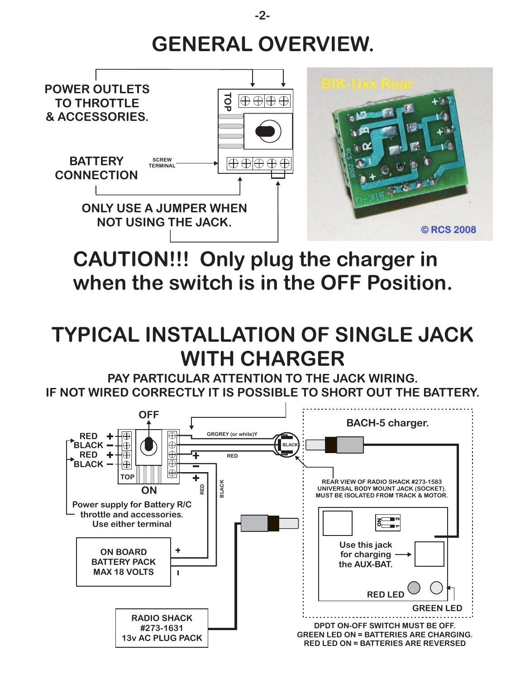### **GENERAL OVERVIEW.**



#### **CAUTION!!! Only plug the charger in when the switch is in the OFF Position.**

### **TYPICAL INSTALLATION OF SINGLE JACK WITH CHARGER**

**PAY PARTICULAR ATTENTION TO THE JACK WIRING. IF NOT WIRED CORRECTLY IT IS POSSIBLE TO SHORT OUT THE BATTERY.**



**-2-**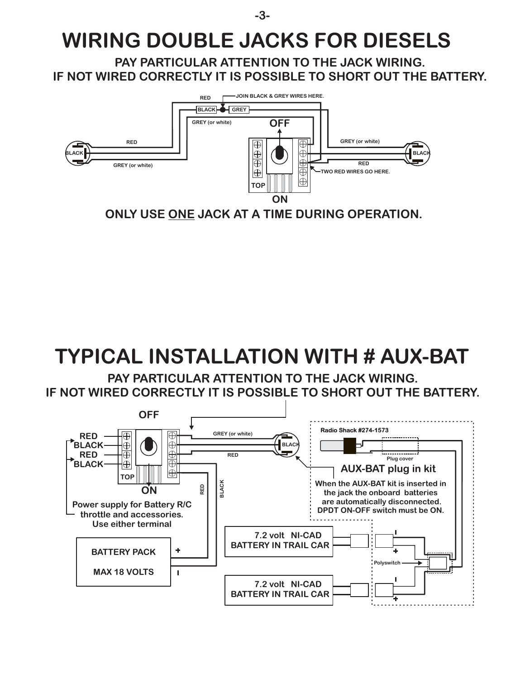### **WIRING DOUBLE JACKS FOR DIESELS**

**-3-**

**PAY PARTICULAR ATTENTION TO THE JACK WIRING. IF NOT WIRED CORRECTLY IT IS POSSIBLE TO SHORT OUT THE BATTERY.**



**ONLY USE ONE JACK AT A TIME DURING OPERATION.** 

# **TYPICAL INSTALLATION WITH # AUX-BAT**

**PAY PARTICULAR ATTENTION TO THE JACK WIRING. IF NOT WIRED CORRECTLY IT IS POSSIBLE TO SHORT OUT THE BATTERY.**